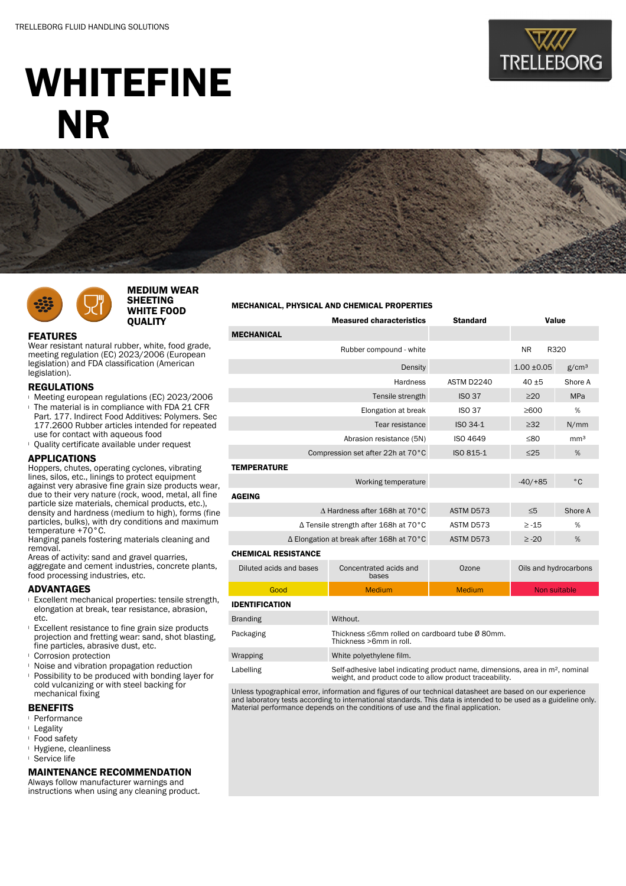

# WHITEFINE NR



# MEDIUM WEAR SHEETING WHITE FOOD QUALITY

#### MECHANICAL, PHYSICAL AND CHEMICAL PROPERTIES

# FEATURES

Wear resistant natural rubber, white, food grade, meeting regulation (EC) 2023/2006 (European legislation) and FDA classification (American legislation).

## REGULATIONS

- <sup>l</sup> Meeting european regulations (EC) 2023/2006 The material is in compliance with FDA 21 CFR Part. 177. Indirect Food Additives: Polymers. Sec 177.2600 Rubber articles intended for repeated use for contact with aqueous food
- <sup>l</sup> Quality certificate available under request

## APPLICATIONS

Hoppers, chutes, operating cyclones, vibrating lines, silos, etc., linings to protect equipment against very abrasive fine grain size products wear, due to their very nature (rock, wood, metal, all fine particle size materials, chemical products, etc.), density and hardness (medium to high), forms (fine particles, bulks), with dry conditions and maximum temperature +70°C.

Hanging panels fostering materials cleaning and removal.

Areas of activity: sand and gravel quarries, aggregate and cement industries, concrete plants, food processing industries, etc.

## ADVANTAGES

- <sup>l</sup> Excellent mechanical properties: tensile strength, elongation at break, tear resistance, abrasion, etc.
- <sup>l</sup> Excellent resistance to fine grain size products projection and fretting wear: sand, shot blasting, fine particles, abrasive dust, etc.
- <sup>l</sup> Corrosion protection
- <sup>l</sup> Noise and vibration propagation reduction
- <sup>l</sup> Possibility to be produced with bonding layer for cold vulcanizing or with steel backing for mechanical fixing

# **BENEFITS**

- <sup>l</sup> Performance
- <sup>l</sup> Legality
- <sup>l</sup> Food safety
- <sup>l</sup> Hygiene, cleanliness
- <sup>l</sup> Service life

### MAINTENANCE RECOMMENDATION

Always follow manufacturer warnings and instructions when using any cleaning product.

| <b>MECHANICAL</b>                        |                                                                            |               |                       |                   |  |  |
|------------------------------------------|----------------------------------------------------------------------------|---------------|-----------------------|-------------------|--|--|
|                                          | Rubber compound - white                                                    |               | <b>NR</b><br>R320     |                   |  |  |
| Density                                  |                                                                            |               | $1.00 + 0.05$         | g/cm <sup>3</sup> |  |  |
| Hardness                                 |                                                                            | ASTM D2240    | $40 + 5$              | Shore A           |  |  |
|                                          | <b>ISO 37</b>                                                              | $\geq$ 20     | <b>MPa</b>            |                   |  |  |
|                                          | <b>ISO 37</b>                                                              | $\geq 600$    | %                     |                   |  |  |
|                                          | ISO 34-1                                                                   | $\geq 32$     | N/mm                  |                   |  |  |
|                                          | <b>ISO 4649</b>                                                            | ≤80           | mm <sup>3</sup>       |                   |  |  |
| Compression set after 22h at 70°C        | ISO 815-1                                                                  | $\leq$ 25     | %                     |                   |  |  |
| <b>TEMPERATURE</b>                       |                                                                            |               |                       |                   |  |  |
|                                          |                                                                            | $-40/ + 85$   | $^{\circ}$ C          |                   |  |  |
| <b>AGEING</b>                            |                                                                            |               |                       |                   |  |  |
| A Hardness after 168h at 70°C            |                                                                            | ASTM D573     | $\leq 5$              | Shore A           |  |  |
| ∆ Tensile strength after 168h at 70°C    | ASTM D573                                                                  | $\ge -15$     | %                     |                   |  |  |
| ∆ Elongation at break after 168h at 70°C | ASTM D573                                                                  | $\geq -20$    | %                     |                   |  |  |
| <b>CHEMICAL RESISTANCE</b>               |                                                                            |               |                       |                   |  |  |
| Diluted acids and bases                  | Concentrated acids and<br>bases                                            | Ozone         | Oils and hydrocarbons |                   |  |  |
| Good                                     | <b>Medium</b>                                                              | <b>Medium</b> | Non suitable          |                   |  |  |
| <b>IDENTIFICATION</b>                    |                                                                            |               |                       |                   |  |  |
| <b>Branding</b>                          | Without.                                                                   |               |                       |                   |  |  |
| Packaging                                | Thickness ≤6mm rolled on cardboard tube Ø 80mm.<br>Thickness >6mm in roll. |               |                       |                   |  |  |
| Wrapping                                 | White polyethylene film.                                                   |               |                       |                   |  |  |

Measured characteristics Standard Value

Labelling Self-adhesive label indicating product name, dimensions, area in m<sup>2</sup>, nominal weight, and product code to allow product traceability.

Unless typographical error, information and figures of our technical datasheet are based on our experience and laboratory tests according to international standards. This data is intended to be used as a guideline only. Material performance depends on the conditions of use and the final application.